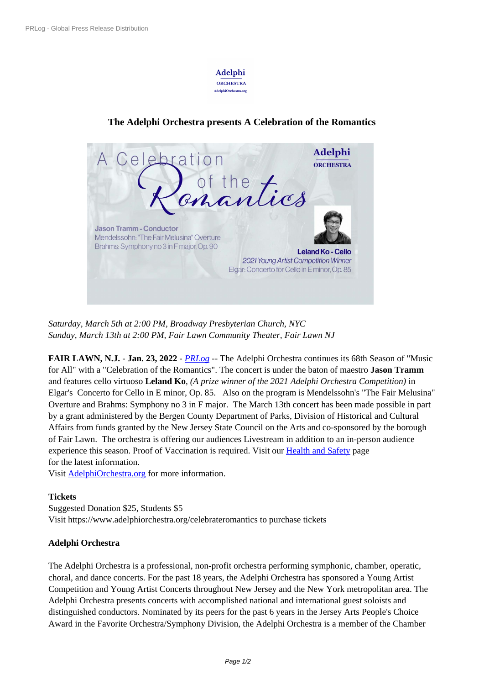

## **The Adelphi Orchestra [presents A C](https://biz.prlog.org/adelphiorch/)elebration of the Romantics**



*Saturday, March 5th at 2:00 PM, Broadway Presbyterian Church, NYC Sunday, M[arch 13th at 2:00 PM, Fair Lawn Community Theater, Fair Lawn NJ](https://www.prlog.org/12902139-celebration-of-the-romantics.jpg)*

**FAIR LAWN, N.J.** - **Jan. 23, 2022** - *PRLog* -- The Adelphi Orchestra continues its 68th Season of "Music for All" with a "Celebration of the Romantics". The concert is under the baton of maestro **Jason Tramm** and features cello virtuoso **Leland Ko**, *(A prize winner of the 2021 Adelphi Orchestra Competition)* in Elgar's Concerto for Cello in E mino[r, Op. 85](https://www.prlog.org). Also on the program is Mendelssohn's "The Fair Melusina" Overture and Brahms: Symphony no 3 in F major. The March 13th concert has been made possible in part by a grant administered by the Bergen County Department of Parks, Division of Historical and Cultural Affairs from funds granted by the New Jersey State Council on the Arts and co-sponsored by the borough of Fair Lawn. The orchestra is offering our audiences Livestream in addition to an in-person audience experience this season. Proof of Vaccination is required. Visit our **Health and Safety** page for the latest information.

Visit AdelphiOrchestra.org for more information.

## **Tickets**

Suggested Donation \$25, Students \$5 Visit [https://www.adelphior](https://www.adelphiorchestra.org/)chestra.org/celebrateromantics to purchase tickets

## **Adelphi Orchestra**

The Adelphi Orchestra is a professional, non-profit orchestra performing symphonic, chamber, operatic, choral, and dance concerts. For the past 18 years, the Adelphi Orchestra has sponsored a Young Artist Competition and Young Artist Concerts throughout New Jersey and the New York metropolitan area. The Adelphi Orchestra presents concerts with accomplished national and international guest soloists and distinguished conductors. Nominated by its peers for the past 6 years in the Jersey Arts People's Choice Award in the Favorite Orchestra/Symphony Division, the Adelphi Orchestra is a member of the Chamber